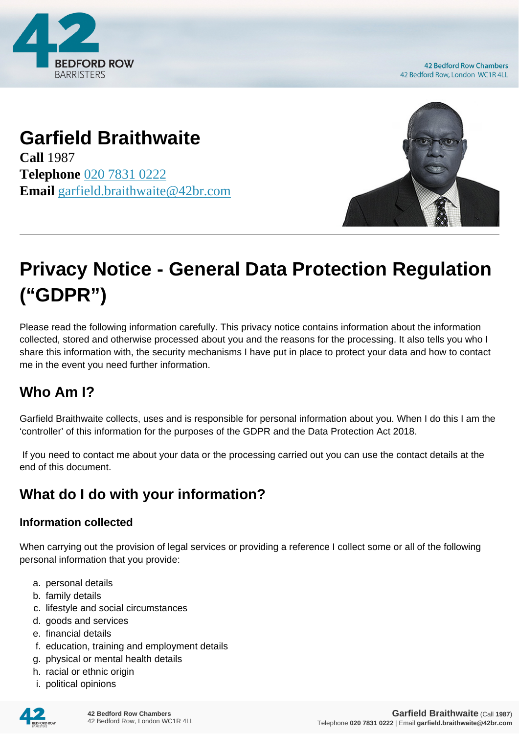

**42 Bedford Row Chambers** 42 Bedford Row, London WC1R 4LL

# **Garfield Braithwaite**

**Call** 1987 **Telephone** [020 7831 0222](https://pdf.codeshore.co/_42br/tel:020 7831 0222) **Email** [garfield.braithwaite@42br.com](mailto:garfield.braithwaite@42br.com)



# **Privacy Notice - General Data Protection Regulation ("GDPR")**

Please read the following information carefully. This privacy notice contains information about the information collected, stored and otherwise processed about you and the reasons for the processing. It also tells you who I share this information with, the security mechanisms I have put in place to protect your data and how to contact me in the event you need further information.

## **Who Am I?**

Garfield Braithwaite collects, uses and is responsible for personal information about you. When I do this I am the 'controller' of this information for the purposes of the GDPR and the Data Protection Act 2018.

 If you need to contact me about your data or the processing carried out you can use the contact details at the end of this document.

# **What do I do with your information?**

#### **Information collected**

When carrying out the provision of legal services or providing a reference I collect some or all of the following personal information that you provide:

- a. personal details
- b. family details
- c. lifestyle and social circumstances
- d. goods and services
- e. financial details
- f. education, training and employment details
- g. physical or mental health details
- h. racial or ethnic origin
- i. political opinions

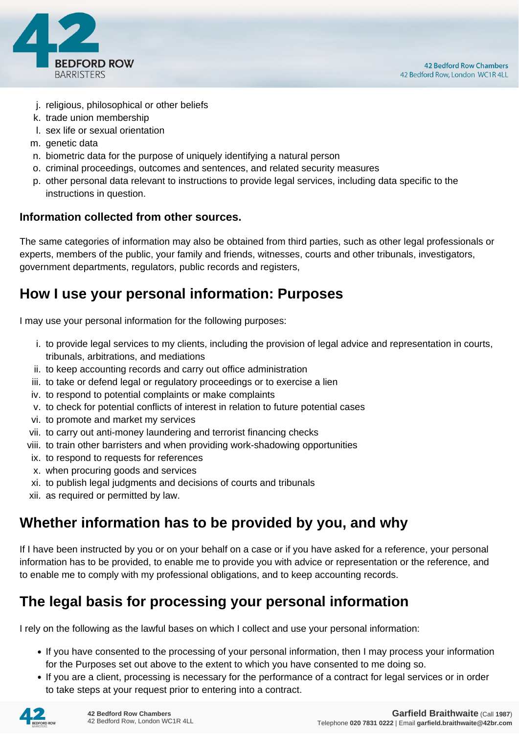

- j. religious, philosophical or other beliefs
- k. trade union membership
- l. sex life or sexual orientation
- m. genetic data
- n. biometric data for the purpose of uniquely identifying a natural person
- o. criminal proceedings, outcomes and sentences, and related security measures
- p. other personal data relevant to instructions to provide legal services, including data specific to the instructions in question.

#### **Information collected from other sources.**

The same categories of information may also be obtained from third parties, such as other legal professionals or experts, members of the public, your family and friends, witnesses, courts and other tribunals, investigators, government departments, regulators, public records and registers,

#### **How I use your personal information: Purposes**

I may use your personal information for the following purposes:

- i. to provide legal services to my clients, including the provision of legal advice and representation in courts, tribunals, arbitrations, and mediations
- ii. to keep accounting records and carry out office administration
- iii. to take or defend legal or regulatory proceedings or to exercise a lien
- iv. to respond to potential complaints or make complaints
- v. to check for potential conflicts of interest in relation to future potential cases
- vi. to promote and market my services
- vii. to carry out anti-money laundering and terrorist financing checks
- viii. to train other barristers and when providing work-shadowing opportunities
- ix. to respond to requests for references
- x. when procuring goods and services
- xi. to publish legal judgments and decisions of courts and tribunals
- xii. as required or permitted by law.

#### **Whether information has to be provided by you, and why**

If I have been instructed by you or on your behalf on a case or if you have asked for a reference, your personal information has to be provided, to enable me to provide you with advice or representation or the reference, and to enable me to comply with my professional obligations, and to keep accounting records.

#### **The legal basis for processing your personal information**

I rely on the following as the lawful bases on which I collect and use your personal information:

- If you have consented to the processing of your personal information, then I may process your information for the Purposes set out above to the extent to which you have consented to me doing so.
- If you are a client, processing is necessary for the performance of a contract for legal services or in order to take steps at your request prior to entering into a contract.

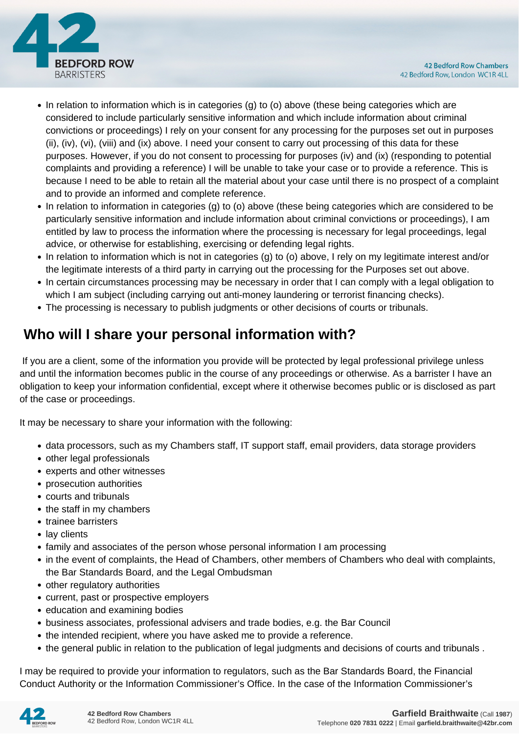

- In relation to information which is in categories (g) to (o) above (these being categories which are considered to include particularly sensitive information and which include information about criminal convictions or proceedings) I rely on your consent for any processing for the purposes set out in purposes (ii), (iv), (vi), (viii) and (ix) above. I need your consent to carry out processing of this data for these purposes. However, if you do not consent to processing for purposes (iv) and (ix) (responding to potential complaints and providing a reference) I will be unable to take your case or to provide a reference. This is because I need to be able to retain all the material about your case until there is no prospect of a complaint and to provide an informed and complete reference.
- In relation to information in categories (g) to (o) above (these being categories which are considered to be particularly sensitive information and include information about criminal convictions or proceedings), I am entitled by law to process the information where the processing is necessary for legal proceedings, legal advice, or otherwise for establishing, exercising or defending legal rights.
- In relation to information which is not in categories (g) to (o) above, I rely on my legitimate interest and/or the legitimate interests of a third party in carrying out the processing for the Purposes set out above.
- In certain circumstances processing may be necessary in order that I can comply with a legal obligation to which I am subject (including carrying out anti-money laundering or terrorist financing checks).
- The processing is necessary to publish judgments or other decisions of courts or tribunals.

# **Who will I share your personal information with?**

 If you are a client, some of the information you provide will be protected by legal professional privilege unless and until the information becomes public in the course of any proceedings or otherwise. As a barrister I have an obligation to keep your information confidential, except where it otherwise becomes public or is disclosed as part of the case or proceedings.

It may be necessary to share your information with the following:

- data processors, such as my Chambers staff, IT support staff, email providers, data storage providers
- other legal professionals
- experts and other witnesses
- prosecution authorities
- courts and tribunals
- the staff in my chambers
- trainee barristers
- lay clients
- family and associates of the person whose personal information I am processing
- in the event of complaints, the Head of Chambers, other members of Chambers who deal with complaints, the Bar Standards Board, and the Legal Ombudsman
- other regulatory authorities
- current, past or prospective employers
- education and examining bodies
- business associates, professional advisers and trade bodies, e.g. the Bar Council
- the intended recipient, where you have asked me to provide a reference.
- the general public in relation to the publication of legal judgments and decisions of courts and tribunals .

I may be required to provide your information to regulators, such as the Bar Standards Board, the Financial Conduct Authority or the Information Commissioner's Office. In the case of the Information Commissioner's

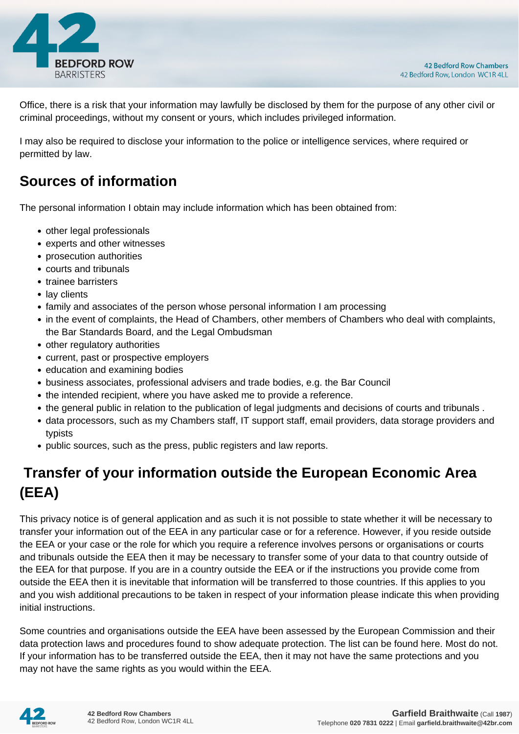

Office, there is a risk that your information may lawfully be disclosed by them for the purpose of any other civil or criminal proceedings, without my consent or yours, which includes privileged information.

I may also be required to disclose your information to the police or intelligence services, where required or permitted by law.

#### **Sources of information**

The personal information I obtain may include information which has been obtained from:

- other legal professionals
- experts and other witnesses
- prosecution authorities
- courts and tribunals
- trainee barristers
- lay clients
- family and associates of the person whose personal information I am processing
- in the event of complaints, the Head of Chambers, other members of Chambers who deal with complaints, the Bar Standards Board, and the Legal Ombudsman
- other regulatory authorities
- current, past or prospective employers
- education and examining bodies
- business associates, professional advisers and trade bodies, e.g. the Bar Council
- the intended recipient, where you have asked me to provide a reference.
- the general public in relation to the publication of legal judgments and decisions of courts and tribunals .
- data processors, such as my Chambers staff, IT support staff, email providers, data storage providers and typists
- public sources, such as the press, public registers and law reports.

# **Transfer of your information outside the European Economic Area (EEA)**

This privacy notice is of general application and as such it is not possible to state whether it will be necessary to transfer your information out of the EEA in any particular case or for a reference. However, if you reside outside the EEA or your case or the role for which you require a reference involves persons or organisations or courts and tribunals outside the EEA then it may be necessary to transfer some of your data to that country outside of the EEA for that purpose. If you are in a country outside the EEA or if the instructions you provide come from outside the EEA then it is inevitable that information will be transferred to those countries. If this applies to you and you wish additional precautions to be taken in respect of your information please indicate this when providing initial instructions.

Some countries and organisations outside the EEA have been assessed by the European Commission and their data protection laws and procedures found to show adequate protection. The list can be found here. Most do not. If your information has to be transferred outside the EEA, then it may not have the same protections and you may not have the same rights as you would within the EEA.

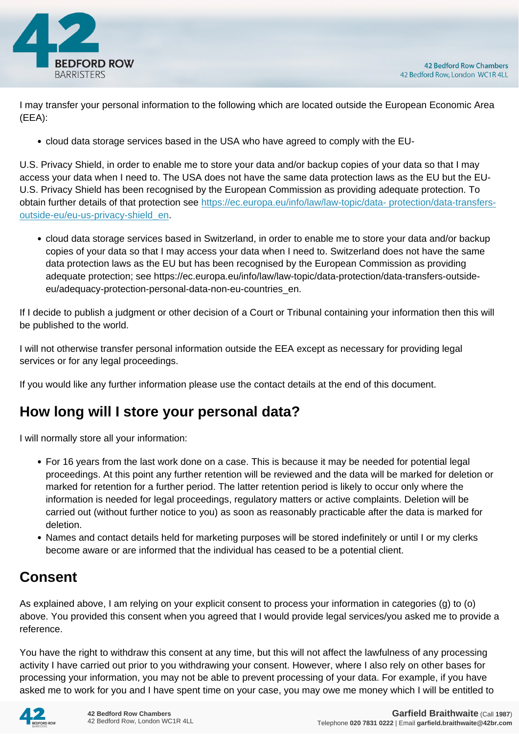

I may transfer your personal information to the following which are located outside the European Economic Area (EEA):

cloud data storage services based in the USA who have agreed to comply with the EU-

U.S. Privacy Shield, in order to enable me to store your data and/or backup copies of your data so that I may access your data when I need to. The USA does not have the same data protection laws as the EU but the EU-U.S. Privacy Shield has been recognised by the European Commission as providing adequate protection. To obtain further details of that protection see [https://ec.europa.eu/info/law/law-topic/data- protection/data-transfers](https://ec.europa.eu/info/law/law-topic/data- protection/data-transfers-outside-eu/eu-us-privacy-shield_en)[outside-eu/eu-us-privacy-shield\\_en.](https://ec.europa.eu/info/law/law-topic/data- protection/data-transfers-outside-eu/eu-us-privacy-shield_en)

cloud data storage services based in Switzerland, in order to enable me to store your data and/or backup copies of your data so that I may access your data when I need to. Switzerland does not have the same data protection laws as the EU but has been recognised by the European Commission as providing adequate protection; see https://ec.europa.eu/info/law/law-topic/data-protection/data-transfers-outsideeu/adequacy-protection-personal-data-non-eu-countries\_en.

If I decide to publish a judgment or other decision of a Court or Tribunal containing your information then this will be published to the world.

I will not otherwise transfer personal information outside the EEA except as necessary for providing legal services or for any legal proceedings.

If you would like any further information please use the contact details at the end of this document.

#### **How long will I store your personal data?**

I will normally store all your information:

- For 16 years from the last work done on a case. This is because it may be needed for potential legal proceedings. At this point any further retention will be reviewed and the data will be marked for deletion or marked for retention for a further period. The latter retention period is likely to occur only where the information is needed for legal proceedings, regulatory matters or active complaints. Deletion will be carried out (without further notice to you) as soon as reasonably practicable after the data is marked for deletion.
- Names and contact details held for marketing purposes will be stored indefinitely or until I or my clerks become aware or are informed that the individual has ceased to be a potential client.

## **Consent**

As explained above, I am relying on your explicit consent to process your information in categories (g) to (o) above. You provided this consent when you agreed that I would provide legal services/you asked me to provide a reference.

You have the right to withdraw this consent at any time, but this will not affect the lawfulness of any processing activity I have carried out prior to you withdrawing your consent. However, where I also rely on other bases for processing your information, you may not be able to prevent processing of your data. For example, if you have asked me to work for you and I have spent time on your case, you may owe me money which I will be entitled to

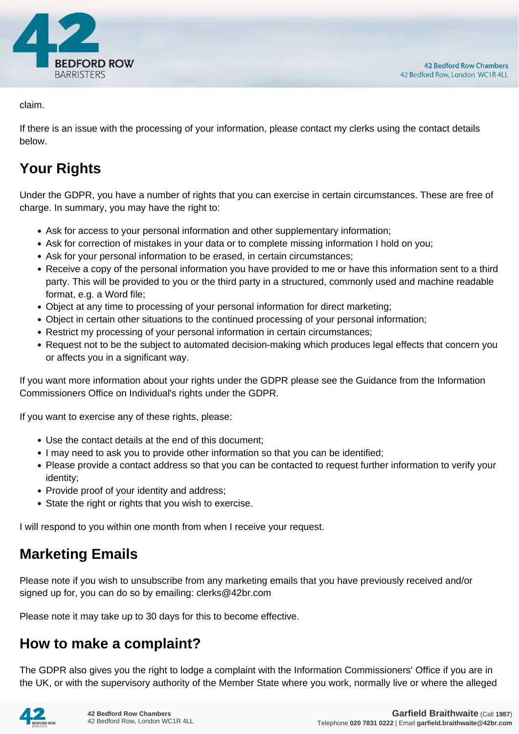

claim.

If there is an issue with the processing of your information, please contact my clerks using the contact details below.

# **Your Rights**

Under the GDPR, you have a number of rights that you can exercise in certain circumstances. These are free of charge. In summary, you may have the right to:

- Ask for access to your personal information and other supplementary information;
- Ask for correction of mistakes in your data or to complete missing information I hold on you;
- Ask for your personal information to be erased, in certain circumstances;
- Receive a copy of the personal information you have provided to me or have this information sent to a third party. This will be provided to you or the third party in a structured, commonly used and machine readable format, e.g. a Word file;
- Object at any time to processing of your personal information for direct marketing;
- Object in certain other situations to the continued processing of your personal information;
- Restrict my processing of your personal information in certain circumstances;
- Request not to be the subject to automated decision-making which produces legal effects that concern you or affects you in a significant way.

If you want more information about your rights under the GDPR please see the Guidance from the Information Commissioners Office on Individual's rights under the GDPR.

If you want to exercise any of these rights, please:

- Use the contact details at the end of this document;
- I may need to ask you to provide other information so that you can be identified;
- Please provide a contact address so that you can be contacted to request further information to verify your identity;
- Provide proof of your identity and address;
- State the right or rights that you wish to exercise.

I will respond to you within one month from when I receive your request.

## **Marketing Emails**

Please note if you wish to unsubscribe from any marketing emails that you have previously received and/or signed up for, you can do so by emailing: clerks@42br.com

Please note it may take up to 30 days for this to become effective.

#### **How to make a complaint?**

The GDPR also gives you the right to lodge a complaint with the Information Commissioners' Office if you are in the UK, or with the supervisory authority of the Member State where you work, normally live or where the alleged